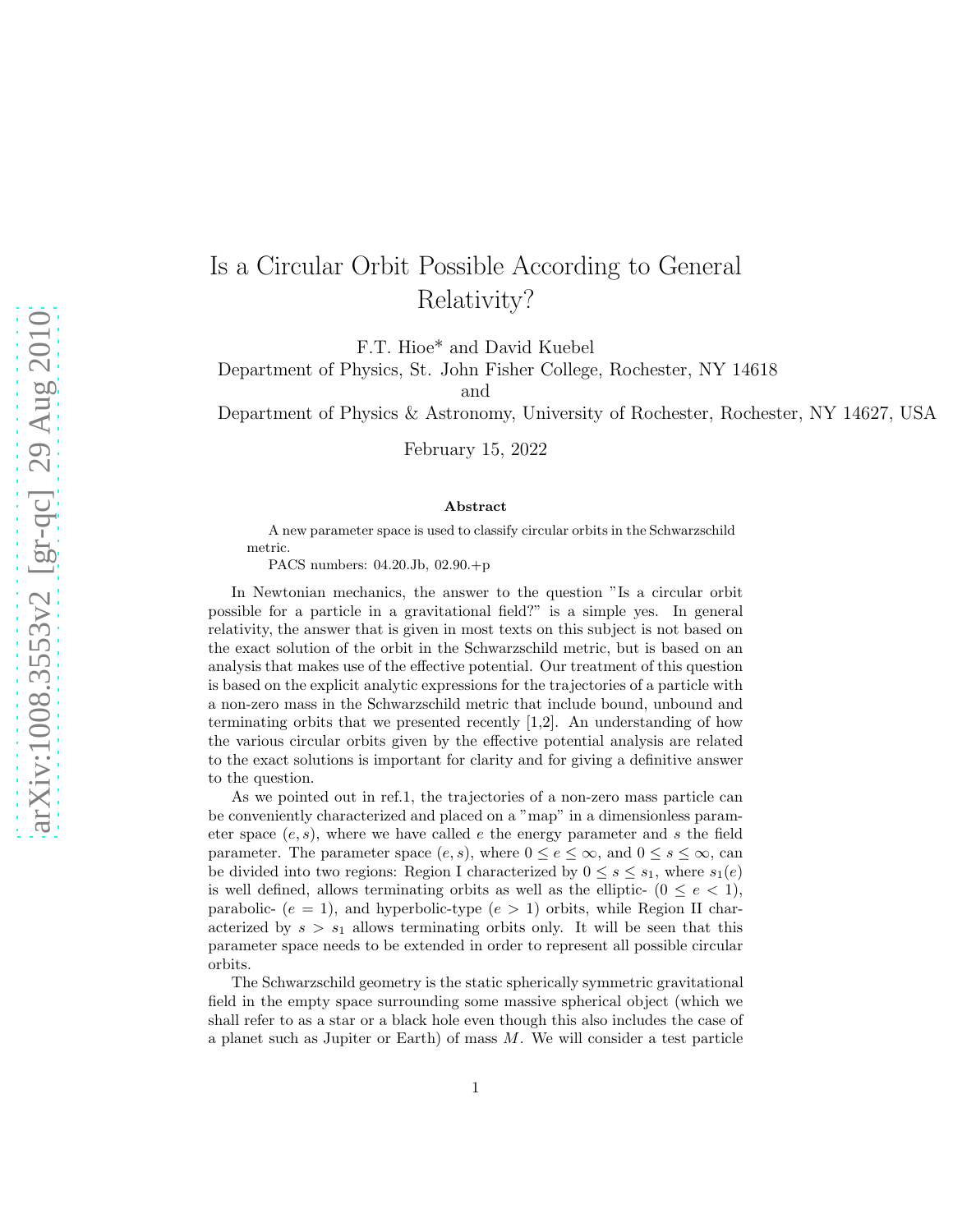## Is a Circular Orbit Possible According to General Relativity?

F.T. Hioe\* and David Kuebel

Department of Physics, St. John Fisher College, Rochester, NY 14618

and

Department of Physics & Astronomy, University of Rochester, Rochester, NY 14627, USA

February 15, 2022

## Abstract

A new parameter space is used to classify circular orbits in the Schwarzschild metric.

PACS numbers: 04.20.Jb, 02.90.+p

In Newtonian mechanics, the answer to the question "Is a circular orbit possible for a particle in a gravitational field?" is a simple yes. In general relativity, the answer that is given in most texts on this subject is not based on the exact solution of the orbit in the Schwarzschild metric, but is based on an analysis that makes use of the effective potential. Our treatment of this question is based on the explicit analytic expressions for the trajectories of a particle with a non-zero mass in the Schwarzschild metric that include bound, unbound and terminating orbits that we presented recently  $[1,2]$ . An understanding of how the various circular orbits given by the effective potential analysis are related to the exact solutions is important for clarity and for giving a definitive answer to the question.

As we pointed out in ref.1, the trajectories of a non-zero mass particle can be conveniently characterized and placed on a "map" in a dimensionless parameter space  $(e, s)$ , where we have called e the energy parameter and s the field parameter. The parameter space  $(e, s)$ , where  $0 \le e \le \infty$ , and  $0 \le s \le \infty$ , can be divided into two regions: Region I characterized by  $0 \leq s \leq s_1$ , where  $s_1(e)$ is well defined, allows terminating orbits as well as the elliptic-  $(0 \le e < 1)$ , parabolic-  $(e = 1)$ , and hyperbolic-type  $(e > 1)$  orbits, while Region II characterized by  $s > s_1$  allows terminating orbits only. It will be seen that this parameter space needs to be extended in order to represent all possible circular orbits.

The Schwarzschild geometry is the static spherically symmetric gravitational field in the empty space surrounding some massive spherical object (which we shall refer to as a star or a black hole even though this also includes the case of a planet such as Jupiter or Earth) of mass M. We will consider a test particle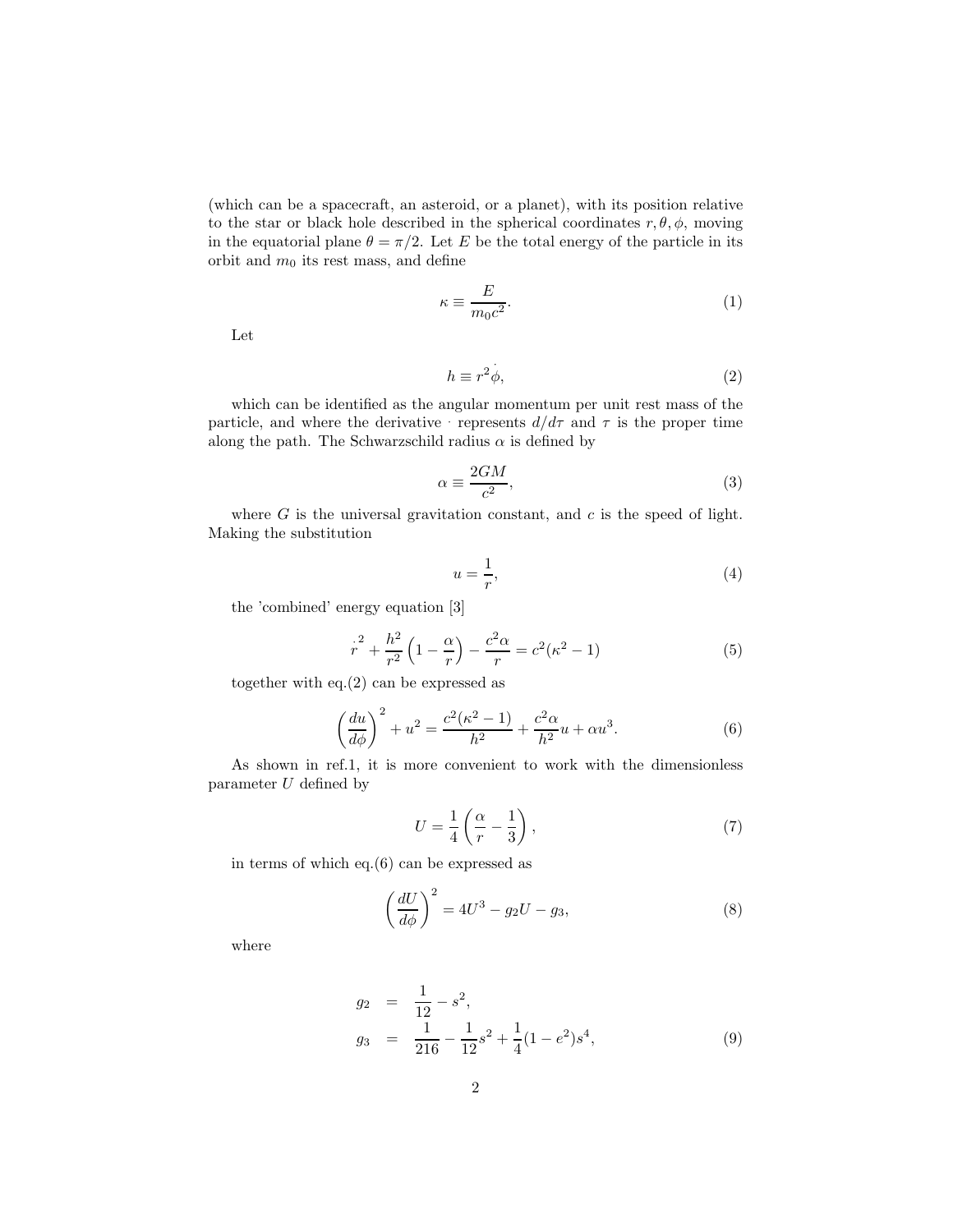(which can be a spacecraft, an asteroid, or a planet), with its position relative to the star or black hole described in the spherical coordinates  $r, \theta, \phi$ , moving in the equatorial plane  $\theta = \pi/2$ . Let E be the total energy of the particle in its orbit and  $m_0$  its rest mass, and define

$$
\kappa \equiv \frac{E}{m_0 c^2}.\tag{1}
$$

Let

$$
h \equiv r^2 \dot{\phi},\tag{2}
$$

which can be identified as the angular momentum per unit rest mass of the particle, and where the derivative · represents  $d/d\tau$  and  $\tau$  is the proper time along the path. The Schwarzschild radius  $\alpha$  is defined by

·

$$
\alpha \equiv \frac{2GM}{c^2},\tag{3}
$$

where  $G$  is the universal gravitation constant, and  $c$  is the speed of light. Making the substitution

$$
u = \frac{1}{r},\tag{4}
$$

the 'combined' energy equation [3]

$$
r^{2} + \frac{h^{2}}{r^{2}} \left(1 - \frac{\alpha}{r}\right) - \frac{c^{2} \alpha}{r} = c^{2} (\kappa^{2} - 1)
$$
 (5)

together with eq.(2) can be expressed as

$$
\left(\frac{du}{d\phi}\right)^2 + u^2 = \frac{c^2(\kappa^2 - 1)}{h^2} + \frac{c^2\alpha}{h^2}u + \alpha u^3.
$$
 (6)

As shown in ref.1, it is more convenient to work with the dimensionless parameter U defined by

$$
U = \frac{1}{4} \left( \frac{\alpha}{r} - \frac{1}{3} \right),\tag{7}
$$

in terms of which eq.(6) can be expressed as

$$
\left(\frac{dU}{d\phi}\right)^2 = 4U^3 - g_2U - g_3,\tag{8}
$$

where

$$
g_2 = \frac{1}{12} - s^2,
$$
  
\n
$$
g_3 = \frac{1}{216} - \frac{1}{12}s^2 + \frac{1}{4}(1 - e^2)s^4,
$$
\n(9)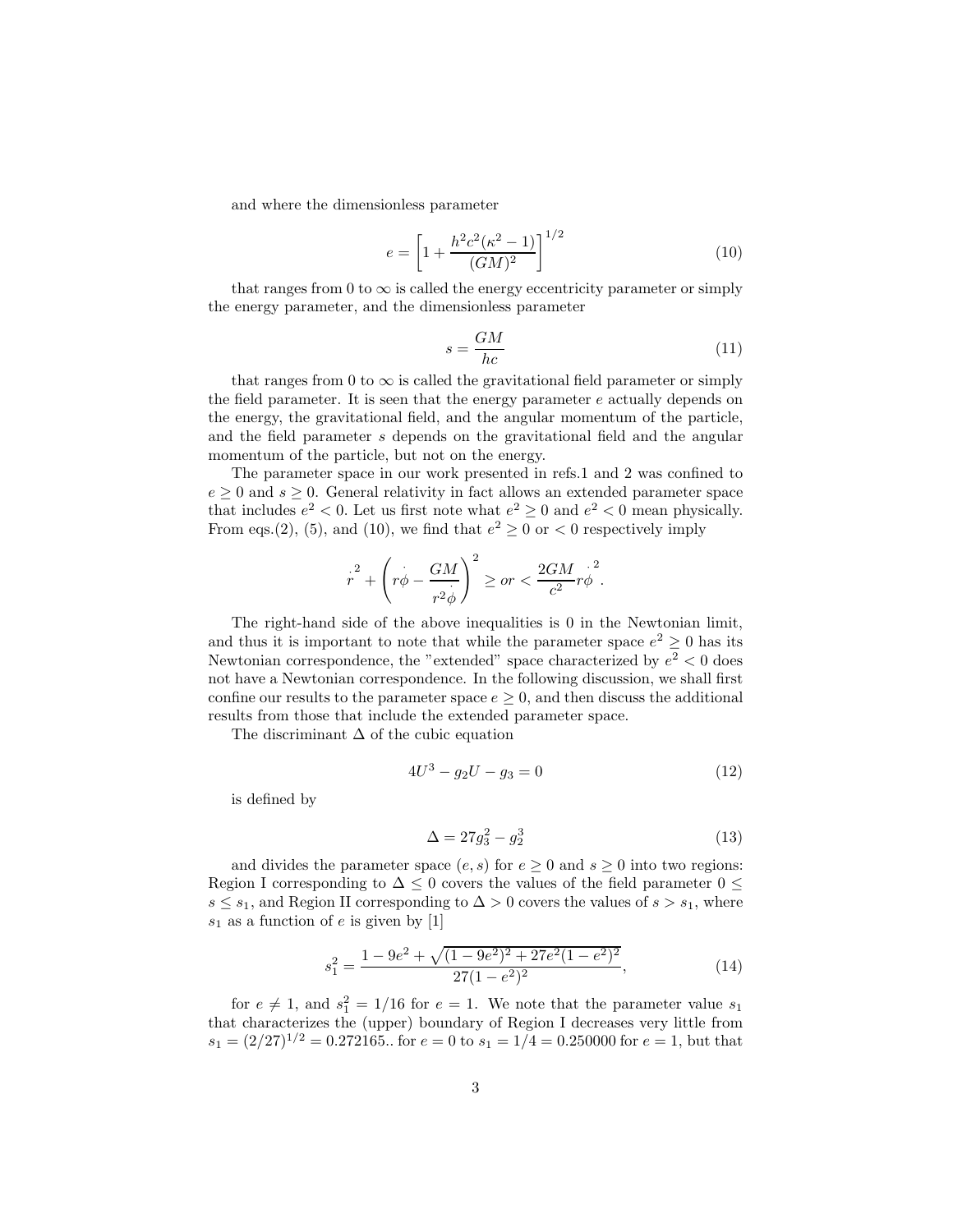and where the dimensionless parameter

$$
e = \left[1 + \frac{h^2 c^2 (\kappa^2 - 1)}{(GM)^2}\right]^{1/2} \tag{10}
$$

that ranges from 0 to  $\infty$  is called the energy eccentricity parameter or simply the energy parameter, and the dimensionless parameter

$$
s = \frac{GM}{hc} \tag{11}
$$

that ranges from 0 to  $\infty$  is called the gravitational field parameter or simply the field parameter. It is seen that the energy parameter  $e$  actually depends on the energy, the gravitational field, and the angular momentum of the particle, and the field parameter s depends on the gravitational field and the angular momentum of the particle, but not on the energy.

The parameter space in our work presented in refs.1 and 2 was confined to  $e \geq 0$  and  $s \geq 0$ . General relativity in fact allows an extended parameter space that includes  $e^2 < 0$ . Let us first note what  $e^2 \ge 0$  and  $e^2 < 0$  mean physically. From eqs.(2), (5), and (10), we find that  $e^2 \ge 0$  or  $\lt 0$  respectively imply

$$
r^{2} + \left(r\phi - \frac{GM}{r^{2}\phi}\right)^{2} \geq or < \frac{2GM}{c^{2}}r\phi^{2}.
$$

The right-hand side of the above inequalities is 0 in the Newtonian limit, and thus it is important to note that while the parameter space  $e^2 \ge 0$  has its Newtonian correspondence, the "extended" space characterized by  $e^2 < 0$  does not have a Newtonian correspondence. In the following discussion, we shall first confine our results to the parameter space  $e \geq 0$ , and then discuss the additional results from those that include the extended parameter space.

The discriminant  $\Delta$  of the cubic equation

$$
4U^3 - g_2U - g_3 = 0\tag{12}
$$

is defined by

$$
\Delta = 27g_3^2 - g_2^3 \tag{13}
$$

and divides the parameter space  $(e, s)$  for  $e \geq 0$  and  $s \geq 0$  into two regions: Region I corresponding to  $\Delta \leq 0$  covers the values of the field parameter  $0 \leq$  $s \leq s_1$ , and Region II corresponding to  $\Delta > 0$  covers the values of  $s > s_1$ , where  $s_1$  as a function of e is given by [1]

$$
s_1^2 = \frac{1 - 9e^2 + \sqrt{(1 - 9e^2)^2 + 27e^2(1 - e^2)^2}}{27(1 - e^2)^2},\tag{14}
$$

for  $e \neq 1$ , and  $s_1^2 = 1/16$  for  $e = 1$ . We note that the parameter value  $s_1$ that characterizes the (upper) boundary of Region I decreases very little from  $s_1 = (2/27)^{1/2} = 0.272165$ .. for  $e = 0$  to  $s_1 = 1/4 = 0.250000$  for  $e = 1$ , but that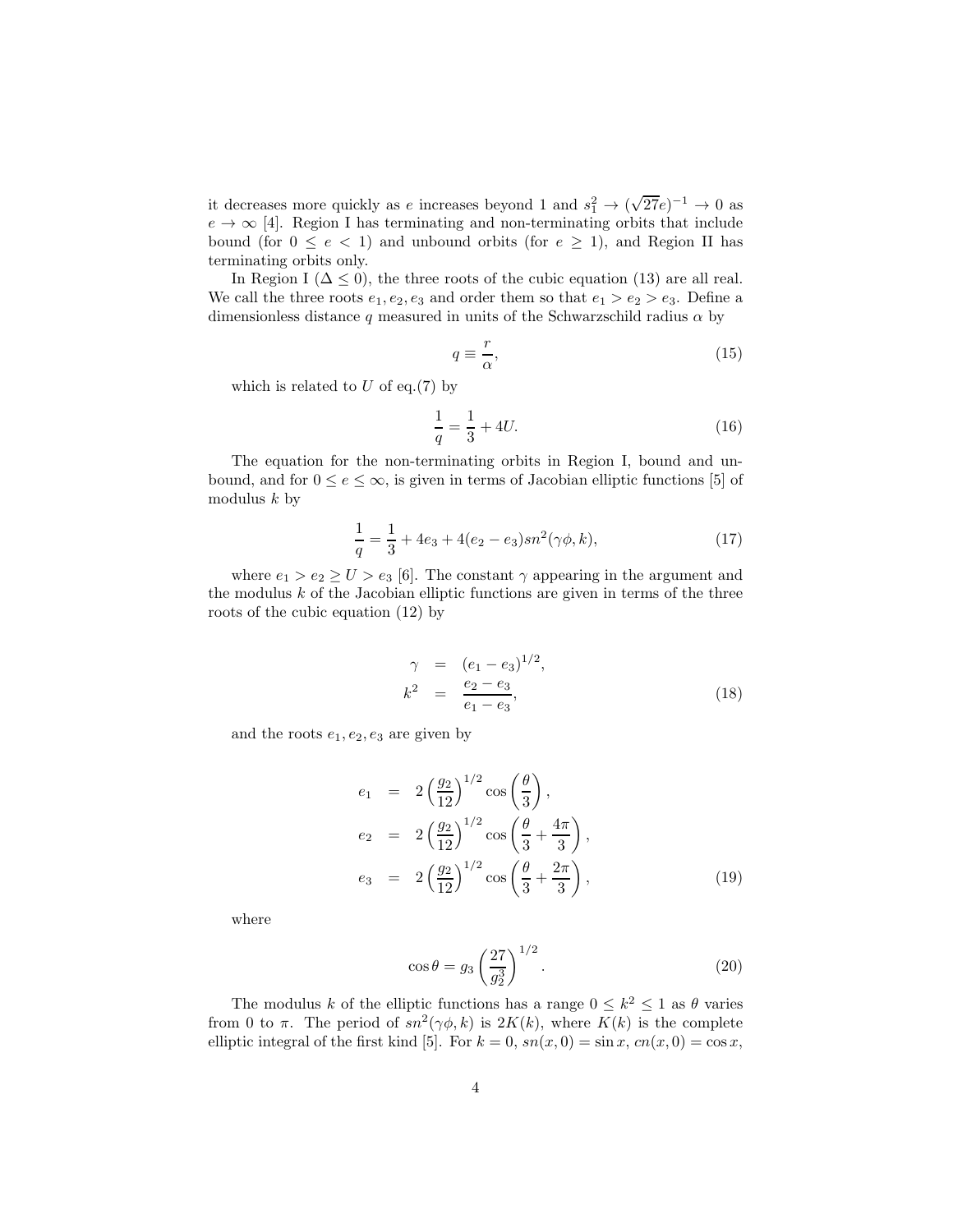it decreases more quickly as e increases beyond 1 and  $s_1^2 \rightarrow (\sqrt{27}e)^{-1} \rightarrow 0$  as  $e \rightarrow \infty$  [4]. Region I has terminating and non-terminating orbits that include bound (for  $0 \le e < 1$ ) and unbound orbits (for  $e \ge 1$ ), and Region II has terminating orbits only.

In Region I ( $\Delta \leq 0$ ), the three roots of the cubic equation (13) are all real. We call the three roots  $e_1, e_2, e_3$  and order them so that  $e_1 > e_2 > e_3$ . Define a dimensionless distance q measured in units of the Schwarzschild radius  $\alpha$  by

$$
q \equiv \frac{r}{\alpha},\tag{15}
$$

which is related to  $U$  of eq.(7) by

$$
\frac{1}{q} = \frac{1}{3} + 4U.\tag{16}
$$

The equation for the non-terminating orbits in Region I, bound and unbound, and for  $0 \le e \le \infty$ , is given in terms of Jacobian elliptic functions [5] of modulus  $k$  by

$$
\frac{1}{q} = \frac{1}{3} + 4e_3 + 4(e_2 - e_3)sn^2(\gamma\phi, k),\tag{17}
$$

where  $e_1 > e_2 \ge U > e_3$  [6]. The constant  $\gamma$  appearing in the argument and the modulus  $k$  of the Jacobian elliptic functions are given in terms of the three roots of the cubic equation (12) by

$$
\gamma = (e_1 - e_3)^{1/2}, \nk^2 = \frac{e_2 - e_3}{e_1 - e_3},
$$
\n(18)

and the roots  $e_1, e_2, e_3$  are given by

$$
e_1 = 2\left(\frac{g_2}{12}\right)^{1/2} \cos\left(\frac{\theta}{3}\right),
$$
  
\n
$$
e_2 = 2\left(\frac{g_2}{12}\right)^{1/2} \cos\left(\frac{\theta}{3} + \frac{4\pi}{3}\right),
$$
  
\n
$$
e_3 = 2\left(\frac{g_2}{12}\right)^{1/2} \cos\left(\frac{\theta}{3} + \frac{2\pi}{3}\right),
$$
\n(19)

where

$$
\cos \theta = g_3 \left(\frac{27}{g_2^3}\right)^{1/2}.
$$
 (20)

The modulus k of the elliptic functions has a range  $0 \leq k^2 \leq 1$  as  $\theta$  varies from 0 to  $\pi$ . The period of  $sn^2(\gamma\phi, k)$  is  $2K(k)$ , where  $K(k)$  is the complete elliptic integral of the first kind [5]. For  $k = 0$ ,  $sn(x, 0) = \sin x$ ,  $cn(x, 0) = \cos x$ ,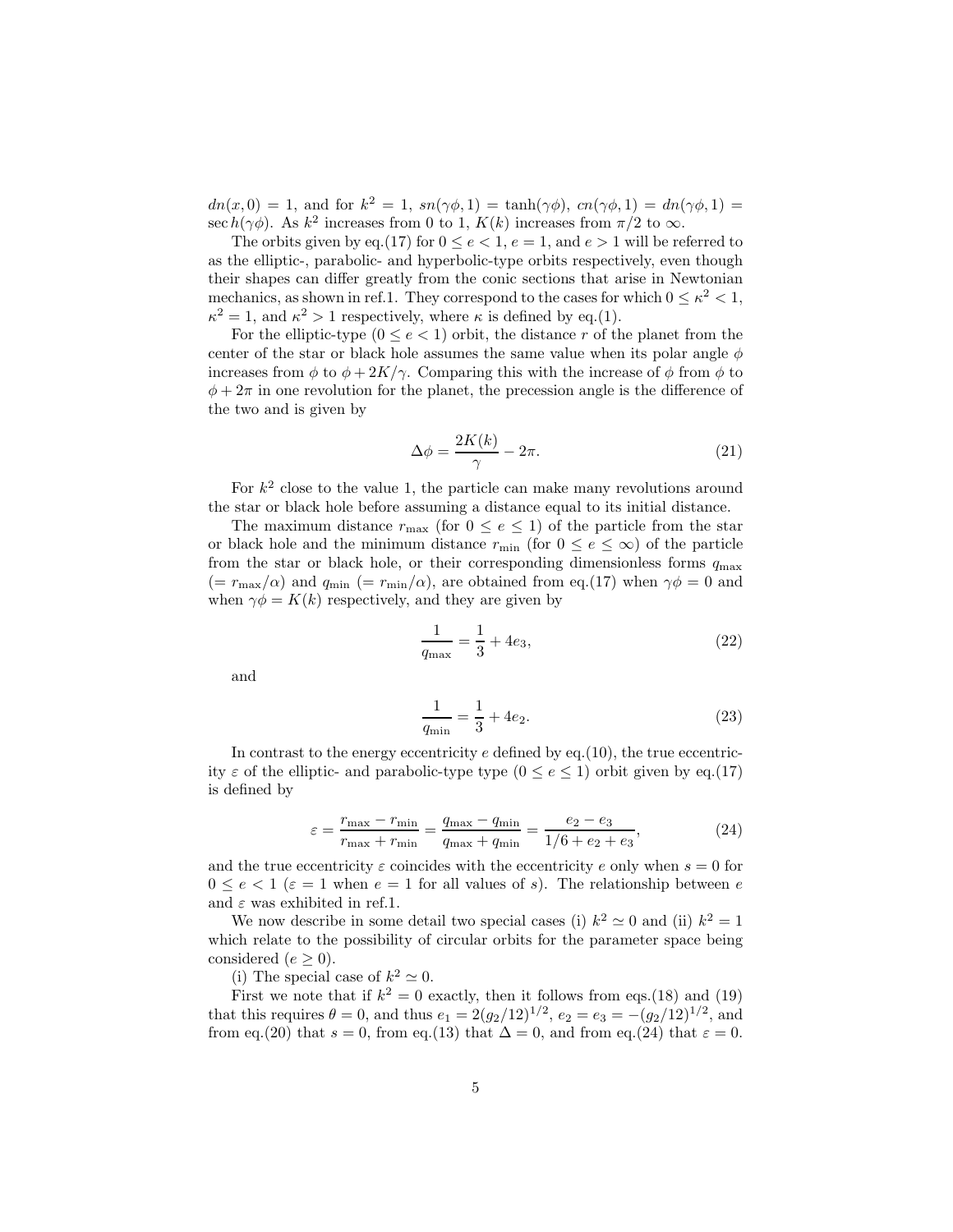$dn(x,0) = 1$ , and for  $k^2 = 1$ ,  $sn(\gamma\phi,1) = \tanh(\gamma\phi)$ ,  $cn(\gamma\phi,1) = dn(\gamma\phi,1) =$ sec  $h(\gamma\phi)$ . As  $k^2$  increases from 0 to 1,  $K(k)$  increases from  $\pi/2$  to  $\infty$ .

The orbits given by eq.(17) for  $0 \le e < 1$ ,  $e = 1$ , and  $e > 1$  will be referred to as the elliptic-, parabolic- and hyperbolic-type orbits respectively, even though their shapes can differ greatly from the conic sections that arise in Newtonian mechanics, as shown in ref.1. They correspond to the cases for which  $0 \le \kappa^2 < 1$ ,  $\kappa^2 = 1$ , and  $\kappa^2 > 1$  respectively, where  $\kappa$  is defined by eq.(1).

For the elliptic-type  $(0 \le e < 1)$  orbit, the distance r of the planet from the center of the star or black hole assumes the same value when its polar angle  $\phi$ increases from  $\phi$  to  $\phi + 2K/\gamma$ . Comparing this with the increase of  $\phi$  from  $\phi$  to  $\phi + 2\pi$  in one revolution for the planet, the precession angle is the difference of the two and is given by

$$
\Delta \phi = \frac{2K(k)}{\gamma} - 2\pi.
$$
\n(21)

For  $k^2$  close to the value 1, the particle can make many revolutions around the star or black hole before assuming a distance equal to its initial distance.

The maximum distance  $r_{\text{max}}$  (for  $0 \le e \le 1$ ) of the particle from the star or black hole and the minimum distance  $r_{\min}$  (for  $0 \le e \le \infty$ ) of the particle from the star or black hole, or their corresponding dimensionless forms  $q_{\text{max}}$  $(= r_{\text{max}}/\alpha)$  and  $q_{\text{min}}$   $(= r_{\text{min}}/\alpha)$ , are obtained from eq.(17) when  $\gamma \phi = 0$  and when  $\gamma \phi = K(k)$  respectively, and they are given by

$$
\frac{1}{q_{\text{max}}} = \frac{1}{3} + 4e_3,\tag{22}
$$

and

$$
\frac{1}{q_{\min}} = \frac{1}{3} + 4e_2.
$$
 (23)

In contrast to the energy eccentricity  $e$  defined by eq.(10), the true eccentricity  $\varepsilon$  of the elliptic- and parabolic-type type  $(0 \le e \le 1)$  orbit given by eq.(17) is defined by

$$
\varepsilon = \frac{r_{\text{max}} - r_{\text{min}}}{r_{\text{max}} + r_{\text{min}}} = \frac{q_{\text{max}} - q_{\text{min}}}{q_{\text{max}} + q_{\text{min}}} = \frac{e_2 - e_3}{1/6 + e_2 + e_3},\tag{24}
$$

and the true eccentricity  $\varepsilon$  coincides with the eccentricity e only when  $s = 0$  for  $0 \le e < 1$  ( $\varepsilon = 1$  when  $e = 1$  for all values of s). The relationship between e and  $\varepsilon$  was exhibited in ref.1.

We now describe in some detail two special cases (i)  $k^2 \approx 0$  and (ii)  $k^2 = 1$ which relate to the possibility of circular orbits for the parameter space being considered ( $e \geq 0$ ).

(i) The special case of  $k^2 \simeq 0$ .

First we note that if  $k^2 = 0$  exactly, then it follows from eqs.(18) and (19) that this requires  $\theta = 0$ , and thus  $e_1 = 2(g_2/12)^{1/2}$ ,  $e_2 = e_3 = -(g_2/12)^{1/2}$ , and from eq.(20) that s = 0, from eq.(13) that  $\Delta = 0$ , and from eq.(24) that  $\varepsilon = 0$ .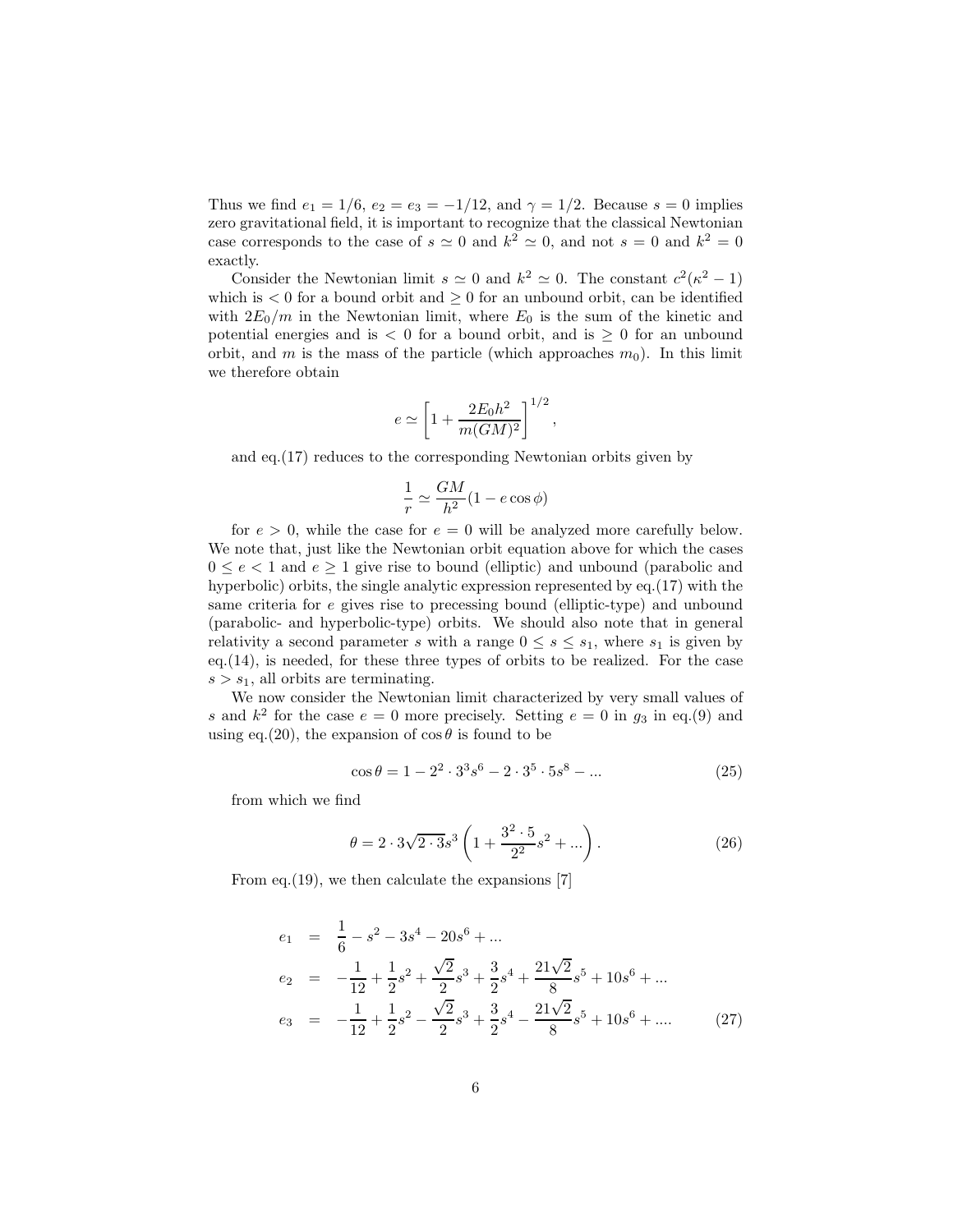Thus we find  $e_1 = 1/6$ ,  $e_2 = e_3 = -1/12$ , and  $\gamma = 1/2$ . Because  $s = 0$  implies zero gravitational field, it is important to recognize that the classical Newtonian case corresponds to the case of  $s \simeq 0$  and  $k^2 \simeq 0$ , and not  $s = 0$  and  $k^2 = 0$ exactly.

Consider the Newtonian limit  $s \simeq 0$  and  $k^2 \simeq 0$ . The constant  $c^2(\kappa^2 - 1)$ which is  $< 0$  for a bound orbit and  $\geq 0$  for an unbound orbit, can be identified with  $2E_0/m$  in the Newtonian limit, where  $E_0$  is the sum of the kinetic and potential energies and is  $\lt 0$  for a bound orbit, and is  $\geq 0$  for an unbound orbit, and m is the mass of the particle (which approaches  $m_0$ ). In this limit we therefore obtain

$$
e \simeq \left[1 + \frac{2E_0 h^2}{m(GM)^2}\right]^{1/2},
$$

and eq.(17) reduces to the corresponding Newtonian orbits given by

$$
\frac{1}{r} \simeq \frac{GM}{h^2} (1 - e \cos \phi)
$$

for  $e > 0$ , while the case for  $e = 0$  will be analyzed more carefully below. We note that, just like the Newtonian orbit equation above for which the cases  $0 \le e < 1$  and  $e \ge 1$  give rise to bound (elliptic) and unbound (parabolic and hyperbolic) orbits, the single analytic expression represented by eq.(17) with the same criteria for e gives rise to precessing bound (elliptic-type) and unbound (parabolic- and hyperbolic-type) orbits. We should also note that in general relativity a second parameter s with a range  $0 \leq s \leq s_1$ , where  $s_1$  is given by eq.(14), is needed, for these three types of orbits to be realized. For the case  $s > s_1$ , all orbits are terminating.

We now consider the Newtonian limit characterized by very small values of s and  $k^2$  for the case  $e = 0$  more precisely. Setting  $e = 0$  in  $g_3$  in eq.(9) and using eq.(20), the expansion of  $\cos \theta$  is found to be

$$
\cos \theta = 1 - 2^2 \cdot 3^3 s^6 - 2 \cdot 3^5 \cdot 5 s^8 - \dots \tag{25}
$$

from which we find

$$
\theta = 2 \cdot 3\sqrt{2 \cdot 3} s^3 \left( 1 + \frac{3^2 \cdot 5}{2^2} s^2 + \dots \right). \tag{26}
$$

From eq.(19), we then calculate the expansions [7]

$$
e_1 = \frac{1}{6} - s^2 - 3s^4 - 20s^6 + \dots
$$
  
\n
$$
e_2 = -\frac{1}{12} + \frac{1}{2}s^2 + \frac{\sqrt{2}}{2}s^3 + \frac{3}{2}s^4 + \frac{21\sqrt{2}}{8}s^5 + 10s^6 + \dots
$$
  
\n
$$
e_3 = -\frac{1}{12} + \frac{1}{2}s^2 - \frac{\sqrt{2}}{2}s^3 + \frac{3}{2}s^4 - \frac{21\sqrt{2}}{8}s^5 + 10s^6 + \dots
$$
 (27)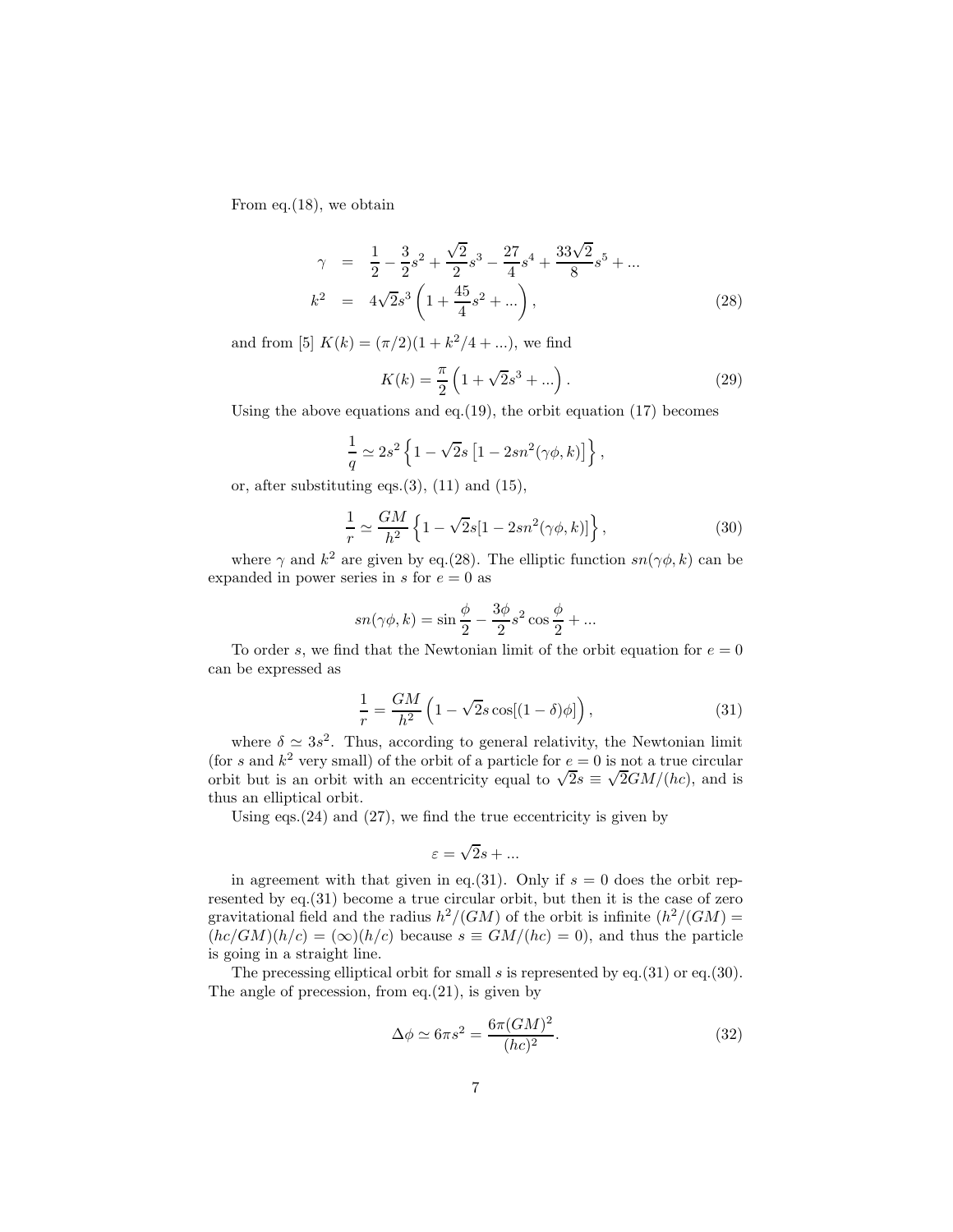From eq.(18), we obtain

$$
\gamma = \frac{1}{2} - \frac{3}{2}s^2 + \frac{\sqrt{2}}{2}s^3 - \frac{27}{4}s^4 + \frac{33\sqrt{2}}{8}s^5 + \dots
$$
  

$$
k^2 = 4\sqrt{2}s^3 \left(1 + \frac{45}{4}s^2 + \dots\right),
$$
 (28)

and from [5]  $K(k) = (\pi/2)(1 + k^2/4 + ...)$ , we find

$$
K(k) = \frac{\pi}{2} \left( 1 + \sqrt{2}s^3 + \dots \right). \tag{29}
$$

Using the above equations and eq.(19), the orbit equation  $(17)$  becomes

$$
\frac{1}{q} \simeq 2s^2 \left\{ 1 - \sqrt{2}s \left[ 1 - 2sn^2(\gamma \phi, k) \right] \right\},\,
$$

or, after substituting eqs. $(3)$ ,  $(11)$  and  $(15)$ ,

$$
\frac{1}{r} \simeq \frac{GM}{h^2} \left\{ 1 - \sqrt{2}s[1 - 2sn^2(\gamma\phi, k)] \right\},\tag{30}
$$

where  $\gamma$  and  $k^2$  are given by eq.(28). The elliptic function  $sn(\gamma\phi, k)$  can be expanded in power series in s for  $e = 0$  as

$$
sn(\gamma\phi, k) = \sin\frac{\phi}{2} - \frac{3\phi}{2}s^2\cos\frac{\phi}{2} + \dots
$$

To order s, we find that the Newtonian limit of the orbit equation for  $e = 0$ can be expressed as

$$
\frac{1}{r} = \frac{GM}{h^2} \left( 1 - \sqrt{2} s \cos[(1 - \delta)\phi] \right),\tag{31}
$$

where  $\delta \simeq 3s^2$ . Thus, according to general relativity, the Newtonian limit (for s and  $k^2$  very small) of the orbit of a particle for  $e = 0$  is not a true circular orbit but is an orbit with an eccentricity equal to  $\sqrt{2s} \equiv \sqrt{2GM/(hc)}$ , and is thus an elliptical orbit.

Using eqs. $(24)$  and  $(27)$ , we find the true eccentricity is given by

$$
\varepsilon = \sqrt{2}s + \dots
$$

in agreement with that given in eq.(31). Only if  $s = 0$  does the orbit represented by eq.(31) become a true circular orbit, but then it is the case of zero gravitational field and the radius  $h^2/(GM)$  of the orbit is infinite  $(h^2/(GM))$  $(hc/GM)(h/c) = (\infty)(h/c)$  because  $s \equiv GM/(hc) = 0$ , and thus the particle is going in a straight line.

The precessing elliptical orbit for small s is represented by eq.(31) or eq.(30). The angle of precession, from eq. $(21)$ , is given by

$$
\Delta \phi \simeq 6\pi s^2 = \frac{6\pi (GM)^2}{(hc)^2}.
$$
\n(32)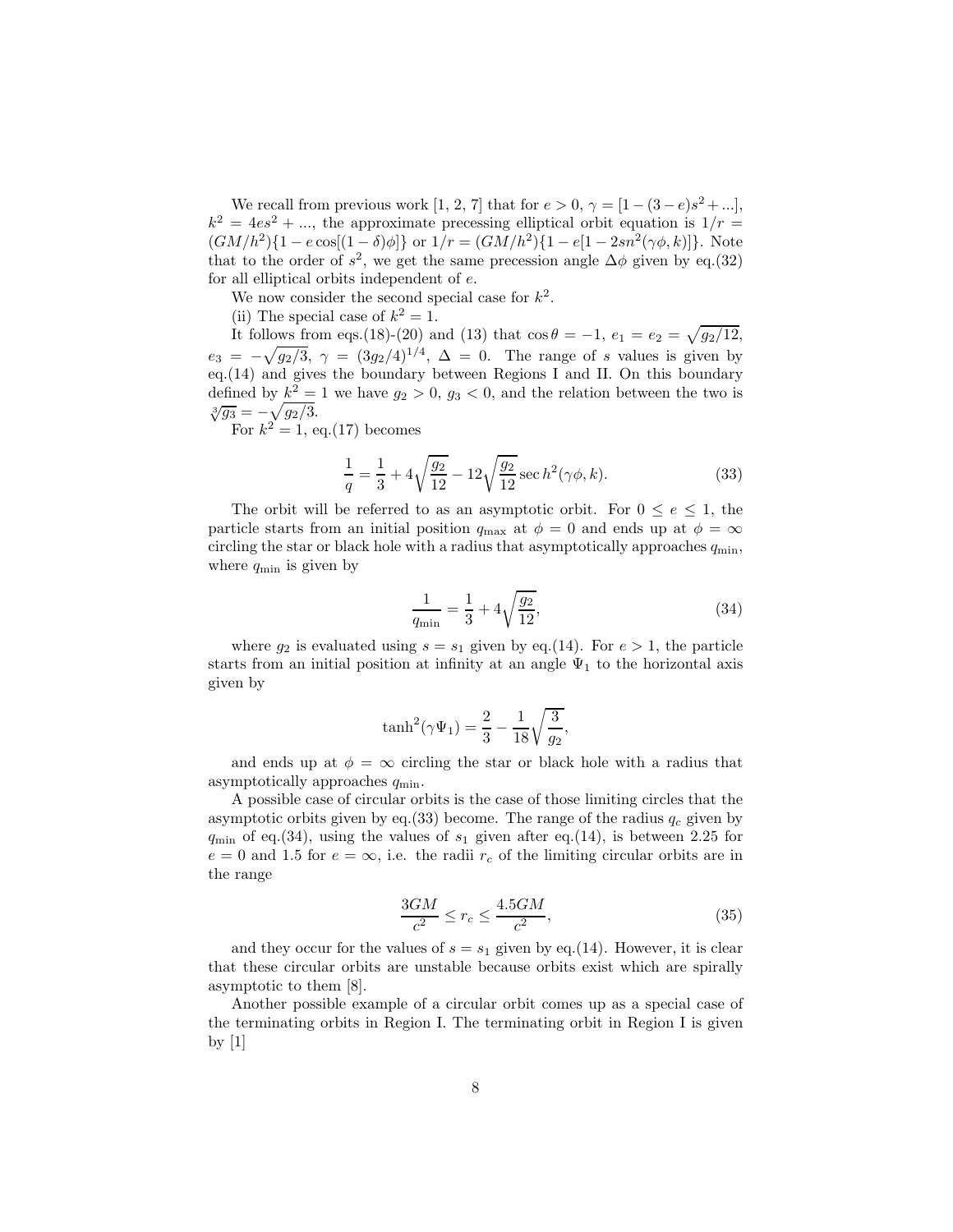We recall from previous work [1, 2, 7] that for  $e > 0$ ,  $\gamma = [1 - (3 - e)s^2 + ...]$ ,  $k^2 = 4es^2 + ...$ , the approximate precessing elliptical orbit equation is  $1/r =$  $(GM/h^2)\{1 - e \cos[(1-\delta)\phi]\}$  or  $1/r = (GM/h^2)\{1 - e[1 - 2sn^2(\gamma\phi, k)]\}$ . Note that to the order of  $s^2$ , we get the same precession angle  $\Delta \phi$  given by eq.(32) for all elliptical orbits independent of e.

We now consider the second special case for  $k^2$ .

(ii) The special case of  $k^2 = 1$ .

It follows from eqs.(18)-(20) and (13) that  $\cos \theta = -1$ ,  $e_1 = e_2 = \sqrt{g_2/12}$ ,  $e_3 = -\sqrt{g_2/3}, \ \gamma = (3g_2/4)^{1/4}, \ \Delta = 0.$  The range of s values is given by eq.(14) and gives the boundary between Regions I and II. On this boundary defined by  $k^2 = 1$  we have  $g_2 > 0$ ,  $g_3 < 0$ , and the relation between the two is  $\sqrt[3]{g_3} = -\sqrt{g_2/3}.$ 

For  $k^2 = 1$ , eq.(17) becomes

$$
\frac{1}{q} = \frac{1}{3} + 4\sqrt{\frac{g_2}{12}} - 12\sqrt{\frac{g_2}{12}} \sec h^2(\gamma\phi, k).
$$
 (33)

The orbit will be referred to as an asymptotic orbit. For  $0 \le e \le 1$ , the particle starts from an initial position  $q_{\text{max}}$  at  $\phi = 0$  and ends up at  $\phi = \infty$ circling the star or black hole with a radius that asymptotically approaches  $q_{\min}$ , where  $q_{\min}$  is given by

$$
\frac{1}{q_{\min}} = \frac{1}{3} + 4\sqrt{\frac{g_2}{12}},\tag{34}
$$

where  $g_2$  is evaluated using  $s = s_1$  given by eq.(14). For  $e > 1$ , the particle starts from an initial position at infinity at an angle  $\Psi_1$  to the horizontal axis given by

$$
\tanh^{2}(\gamma \Psi_{1}) = \frac{2}{3} - \frac{1}{18} \sqrt{\frac{3}{g_{2}}},
$$

and ends up at  $\phi = \infty$  circling the star or black hole with a radius that asymptotically approaches  $q_{\min}$ .

A possible case of circular orbits is the case of those limiting circles that the asymptotic orbits given by eq.(33) become. The range of the radius  $q_c$  given by  $q_{\min}$  of eq.(34), using the values of  $s_1$  given after eq.(14), is between 2.25 for  $e = 0$  and 1.5 for  $e = \infty$ , i.e. the radii  $r_c$  of the limiting circular orbits are in the range

$$
\frac{3GM}{c^2} \le r_c \le \frac{4.5GM}{c^2},\tag{35}
$$

and they occur for the values of  $s = s_1$  given by eq.(14). However, it is clear that these circular orbits are unstable because orbits exist which are spirally asymptotic to them [8].

Another possible example of a circular orbit comes up as a special case of the terminating orbits in Region I. The terminating orbit in Region I is given by [1]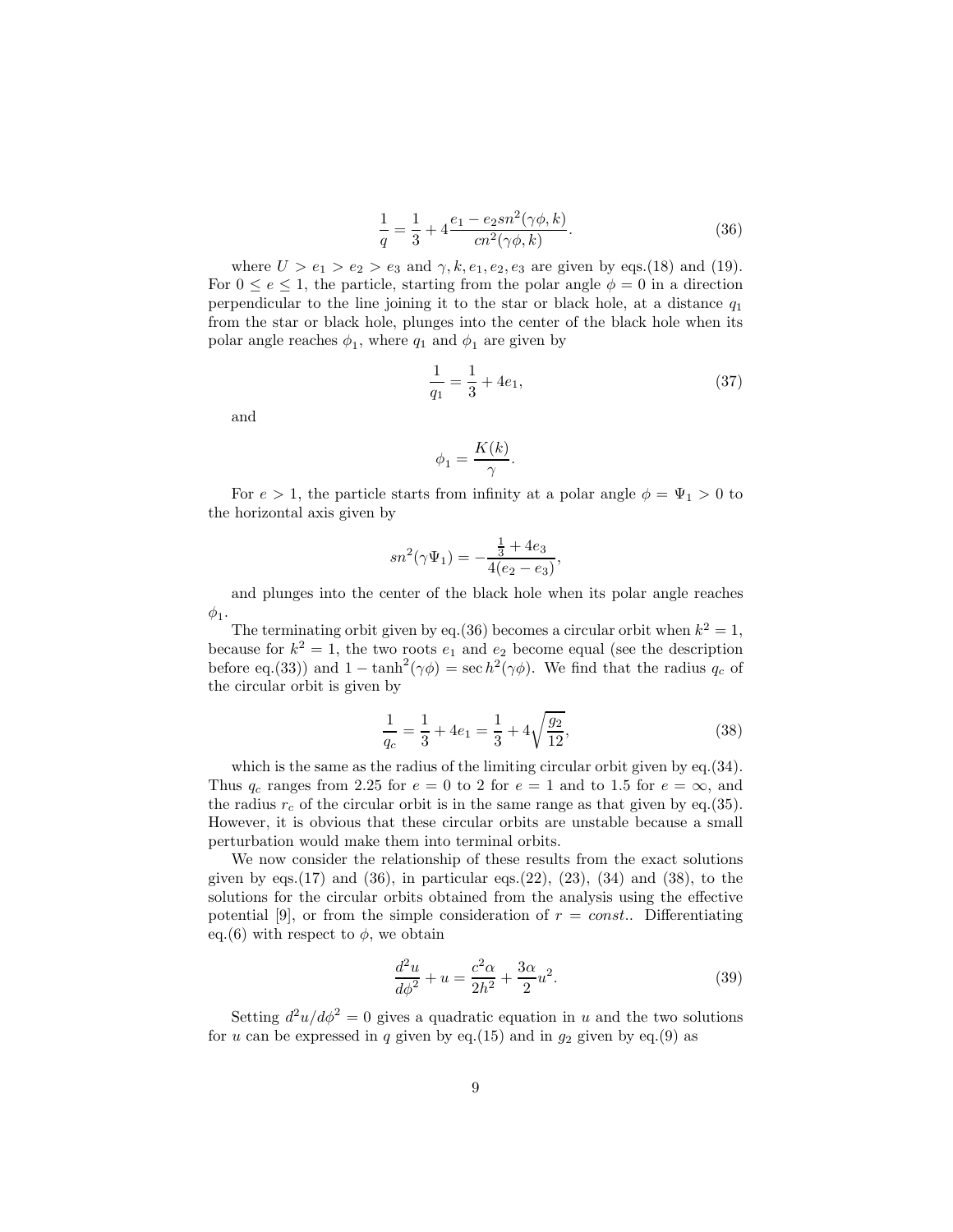$$
\frac{1}{q} = \frac{1}{3} + 4\frac{e_1 - e_2sn^2(\gamma\phi, k)}{cn^2(\gamma\phi, k)}.
$$
\n(36)

where  $U > e_1 > e_2 > e_3$  and  $\gamma, k, e_1, e_2, e_3$  are given by eqs.(18) and (19). For  $0 \le e \le 1$ , the particle, starting from the polar angle  $\phi = 0$  in a direction perpendicular to the line joining it to the star or black hole, at a distance  $q_1$ from the star or black hole, plunges into the center of the black hole when its polar angle reaches  $\phi_1$ , where  $q_1$  and  $\phi_1$  are given by

$$
\frac{1}{q_1} = \frac{1}{3} + 4e_1,\tag{37}
$$

and

$$
\phi_1 = \frac{K(k)}{\gamma}.
$$

For  $e > 1$ , the particle starts from infinity at a polar angle  $\phi = \Psi_1 > 0$  to the horizontal axis given by

$$
sn^2(\gamma\Psi_1)=-\frac{\frac{1}{3}+4e_3}{4(e_2-e_3)},
$$

and plunges into the center of the black hole when its polar angle reaches  $\phi_1$ .

The terminating orbit given by eq.(36) becomes a circular orbit when  $k^2 = 1$ , because for  $k^2 = 1$ , the two roots  $e_1$  and  $e_2$  become equal (see the description before eq.(33)) and  $1 - \tanh^2(\gamma \phi) = \sec h^2(\gamma \phi)$ . We find that the radius  $q_c$  of the circular orbit is given by

$$
\frac{1}{q_c} = \frac{1}{3} + 4e_1 = \frac{1}{3} + 4\sqrt{\frac{g_2}{12}},\tag{38}
$$

which is the same as the radius of the limiting circular orbit given by eq.  $(34)$ . Thus  $q_c$  ranges from 2.25 for  $e = 0$  to 2 for  $e = 1$  and to 1.5 for  $e = \infty$ , and the radius  $r_c$  of the circular orbit is in the same range as that given by eq.(35). However, it is obvious that these circular orbits are unstable because a small perturbation would make them into terminal orbits.

We now consider the relationship of these results from the exact solutions given by eqs. $(17)$  and  $(36)$ , in particular eqs. $(22)$ ,  $(23)$ ,  $(34)$  and  $(38)$ , to the solutions for the circular orbits obtained from the analysis using the effective potential [9], or from the simple consideration of  $r = const.$  Differentiating eq.(6) with respect to  $\phi$ , we obtain

$$
\frac{d^2u}{d\phi^2} + u = \frac{c^2\alpha}{2h^2} + \frac{3\alpha}{2}u^2.
$$
 (39)

Setting  $d^2u/d\phi^2 = 0$  gives a quadratic equation in u and the two solutions for u can be expressed in q given by eq.(15) and in  $q_2$  given by eq.(9) as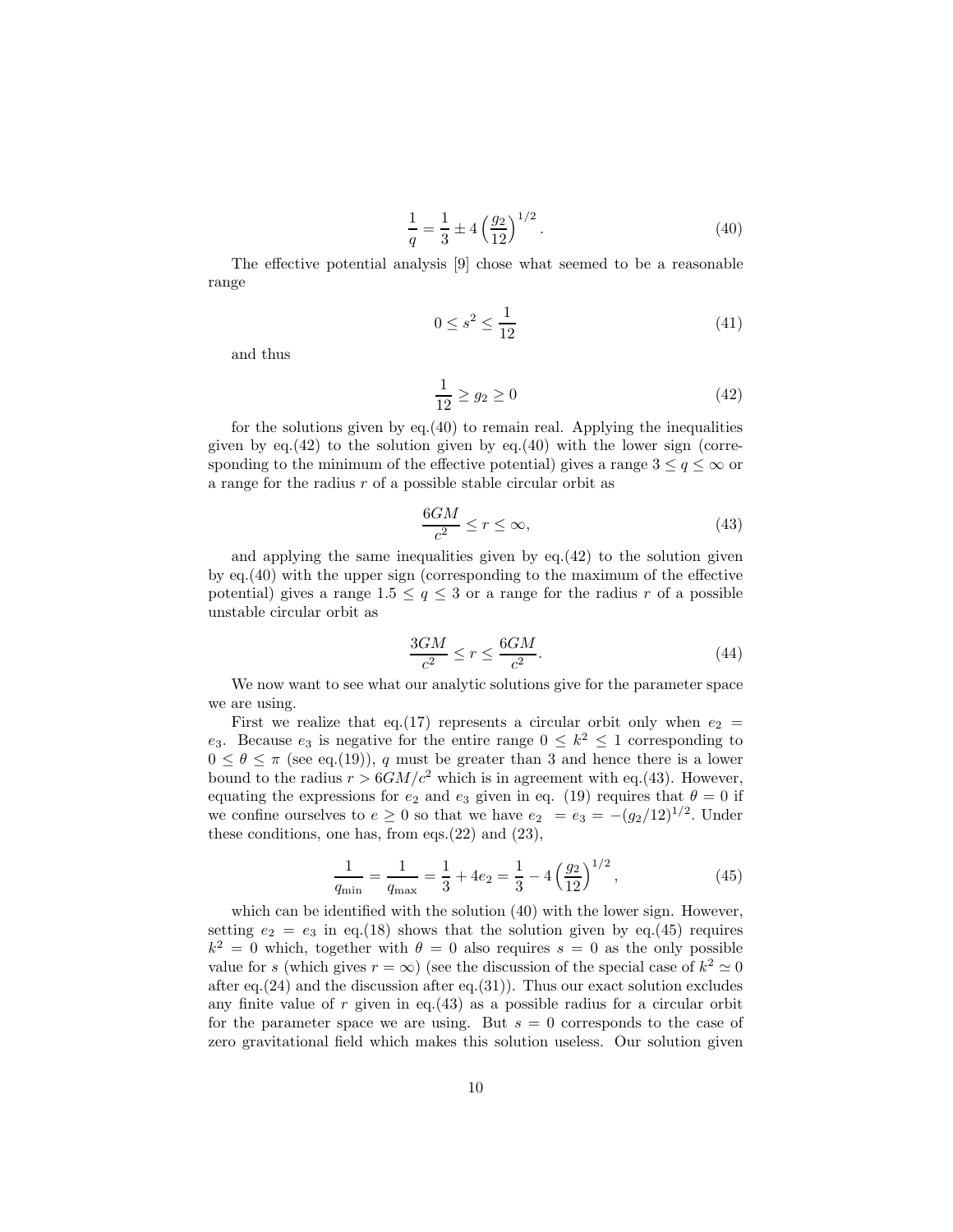$$
\frac{1}{q} = \frac{1}{3} \pm 4 \left(\frac{g_2}{12}\right)^{1/2}.
$$
 (40)

The effective potential analysis [9] chose what seemed to be a reasonable range

$$
0 \le s^2 \le \frac{1}{12} \tag{41}
$$

and thus

$$
\frac{1}{12} \ge g_2 \ge 0\tag{42}
$$

for the solutions given by eq.(40) to remain real. Applying the inequalities given by  $eq.(42)$  to the solution given by  $eq.(40)$  with the lower sign (corresponding to the minimum of the effective potential) gives a range  $3 \leq q \leq \infty$  or a range for the radius r of a possible stable circular orbit as

$$
\frac{6GM}{c^2} \le r \le \infty,\tag{43}
$$

and applying the same inequalities given by  $eq.(42)$  to the solution given by eq.(40) with the upper sign (corresponding to the maximum of the effective potential) gives a range  $1.5 \le q \le 3$  or a range for the radius r of a possible unstable circular orbit as

$$
\frac{3GM}{c^2} \le r \le \frac{6GM}{c^2}.\tag{44}
$$

We now want to see what our analytic solutions give for the parameter space we are using.

First we realize that eq.(17) represents a circular orbit only when  $e_2$  = e<sub>3</sub>. Because e<sub>3</sub> is negative for the entire range  $0 \leq k^2 \leq 1$  corresponding to  $0 \le \theta \le \pi$  (see eq.(19)), q must be greater than 3 and hence there is a lower bound to the radius  $r > 6GM/c^2$  which is in agreement with eq.(43). However, equating the expressions for  $e_2$  and  $e_3$  given in eq. (19) requires that  $\theta = 0$  if we confine ourselves to  $e \ge 0$  so that we have  $e_2 = e_3 = -(g_2/12)^{1/2}$ . Under these conditions, one has, from eqs. $(22)$  and  $(23)$ ,

$$
\frac{1}{q_{\min}} = \frac{1}{q_{\max}} = \frac{1}{3} + 4e_2 = \frac{1}{3} - 4\left(\frac{g_2}{12}\right)^{1/2},\tag{45}
$$

which can be identified with the solution  $(40)$  with the lower sign. However, setting  $e_2 = e_3$  in eq.(18) shows that the solution given by eq.(45) requires  $k^2 = 0$  which, together with  $\theta = 0$  also requires  $s = 0$  as the only possible value for s (which gives  $r = \infty$ ) (see the discussion of the special case of  $k^2 \simeq 0$ after eq.  $(24)$  and the discussion after eq.  $(31)$ ). Thus our exact solution excludes any finite value of  $r$  given in eq.(43) as a possible radius for a circular orbit for the parameter space we are using. But  $s = 0$  corresponds to the case of zero gravitational field which makes this solution useless. Our solution given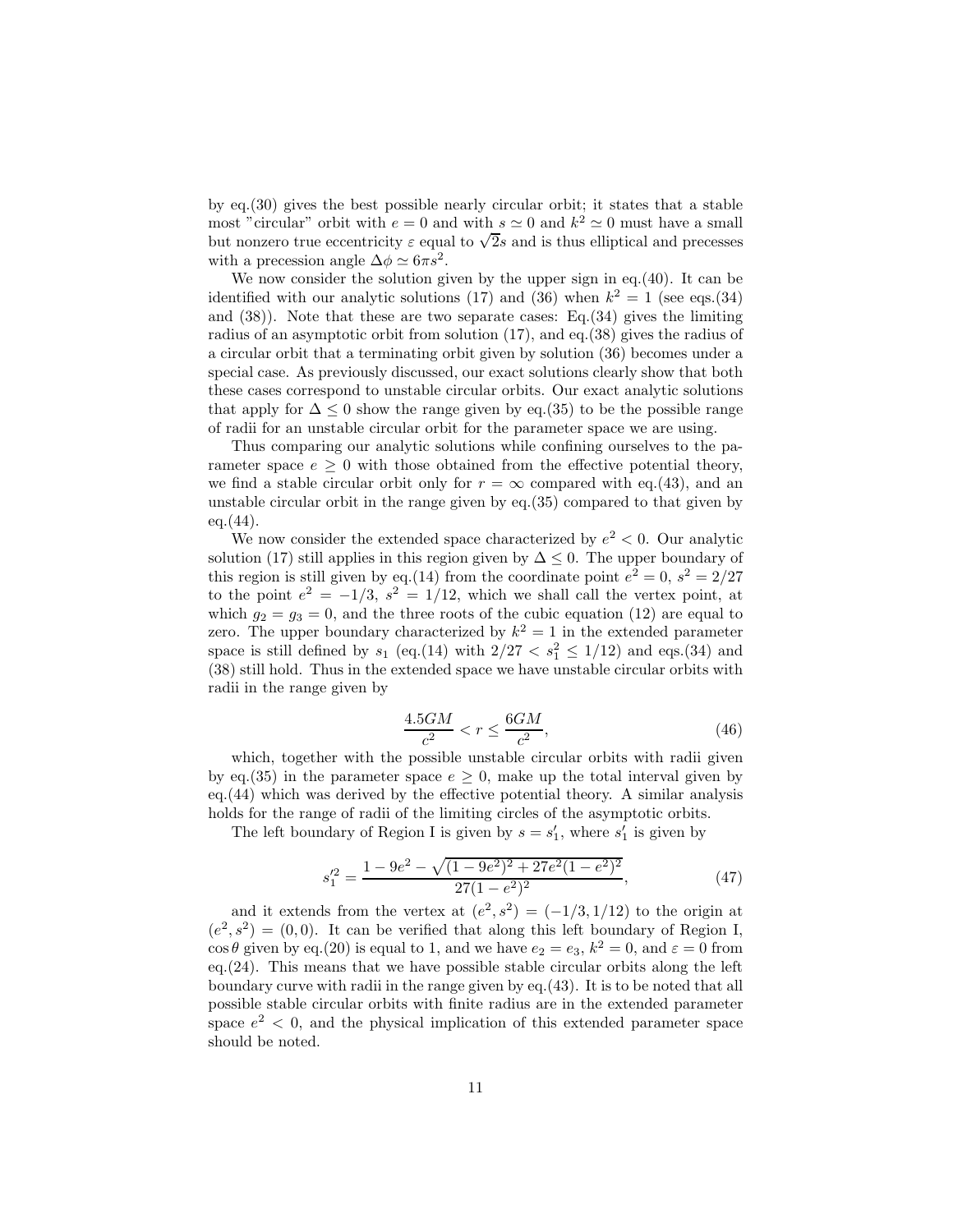by eq.(30) gives the best possible nearly circular orbit; it states that a stable most "circular" orbit with  $e = 0$  and with  $s \simeq 0$  and  $k^2 \simeq 0$  must have a small but nonzero true eccentricity  $\varepsilon$  equal to  $\sqrt{2}s$  and is thus elliptical and precesses with a precession angle  $\Delta \phi \simeq 6\pi s^2$ .

We now consider the solution given by the upper sign in eq.  $(40)$ . It can be identified with our analytic solutions (17) and (36) when  $k^2 = 1$  (see eqs.(34) and (38)). Note that these are two separate cases: Eq.(34) gives the limiting radius of an asymptotic orbit from solution (17), and eq.(38) gives the radius of a circular orbit that a terminating orbit given by solution (36) becomes under a special case. As previously discussed, our exact solutions clearly show that both these cases correspond to unstable circular orbits. Our exact analytic solutions that apply for  $\Delta \leq 0$  show the range given by eq.(35) to be the possible range of radii for an unstable circular orbit for the parameter space we are using.

Thus comparing our analytic solutions while confining ourselves to the parameter space  $e > 0$  with those obtained from the effective potential theory, we find a stable circular orbit only for  $r = \infty$  compared with eq.(43), and an unstable circular orbit in the range given by eq.(35) compared to that given by  $eq.(44)$ .

We now consider the extended space characterized by  $e^2 < 0$ . Our analytic solution (17) still applies in this region given by  $\Delta \leq 0$ . The upper boundary of this region is still given by eq.(14) from the coordinate point  $e^2 = 0$ ,  $s^2 = 2/27$ to the point  $e^2 = -1/3$ ,  $s^2 = 1/12$ , which we shall call the vertex point, at which  $g_2 = g_3 = 0$ , and the three roots of the cubic equation (12) are equal to zero. The upper boundary characterized by  $k^2 = 1$  in the extended parameter space is still defined by  $s_1$  (eq.(14) with  $2/27 < s_1^2 \le 1/12$ ) and eqs.(34) and (38) still hold. Thus in the extended space we have unstable circular orbits with radii in the range given by

$$
\frac{4.5GM}{c^2} < r \le \frac{6GM}{c^2},\tag{46}
$$

which, together with the possible unstable circular orbits with radii given by eq.(35) in the parameter space  $e \geq 0$ , make up the total interval given by eq.(44) which was derived by the effective potential theory. A similar analysis holds for the range of radii of the limiting circles of the asymptotic orbits.

The left boundary of Region I is given by  $s = s'_1$ , where  $s'_1$  is given by

$$
s_1^{\prime 2} = \frac{1 - 9e^2 - \sqrt{(1 - 9e^2)^2 + 27e^2(1 - e^2)^2}}{27(1 - e^2)^2},\tag{47}
$$

and it extends from the vertex at  $(e^2, s^2) = (-1/3, 1/12)$  to the origin at  $(e^2, s^2) = (0, 0)$ . It can be verified that along this left boundary of Region I,  $\cos \theta$  given by eq.(20) is equal to 1, and we have  $e_2 = e_3$ ,  $k^2 = 0$ , and  $\varepsilon = 0$  from eq.(24). This means that we have possible stable circular orbits along the left boundary curve with radii in the range given by eq.(43). It is to be noted that all possible stable circular orbits with finite radius are in the extended parameter space  $e^2$  < 0, and the physical implication of this extended parameter space should be noted.